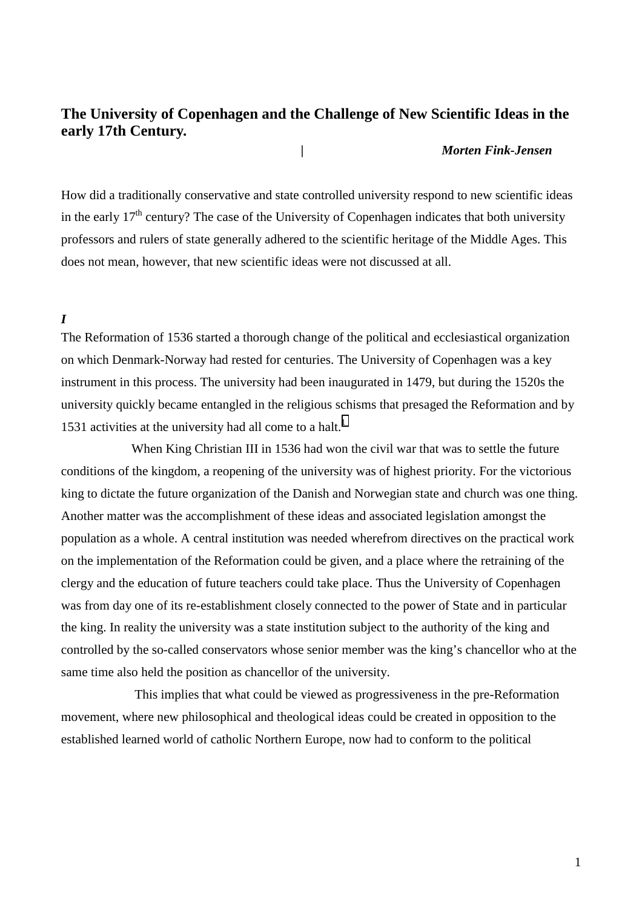# **The University of Copenhagen and the Challenge of New Scientific Ideas in the early 17th Century.**

## *| Morten Fink-Jensen*

How did a traditionally conservative and state controlled university respond to new scientific ideas in the early  $17<sup>th</sup>$  century? The case of the University of Copenhagen indicates that both university professors and rulers of state generally adhered to the scientific heritage of the Middle Ages. This does not mean, however, that new scientific ideas were not discussed at all.

### *I*

The Reformation of 1536 started a thorough change of the political and ecclesiastical organization on which Denmark-Norway had rested for centuries. The University of Copenhagen was a key instrument in this process. The university had been inaugurated in 1479, but during the 1520s the university quickly became entangled in the religious schisms that presaged the Reformation and by 1531 activities at the university had all come to a halt.<sup>1</sup>

When King Christian III in 1536 had won the civil war that was to settle the future conditions of the kingdom, a reopening of the university was of highest priority. For the victorious king to dictate the future organization of the Danish and Norwegian state and church was one thing. Another matter was the accomplishment of these ideas and associated legislation amongst the population as a whole. A central institution was needed wherefrom directives on the practical work on the implementation of the Reformation could be given, and a place where the retraining of the clergy and the education of future teachers could take place. Thus the University of Copenhagen was from day one of its re-establishment closely connected to the power of State and in particular the king. In reality the university was a state institution subject to the authority of the king and controlled by the so-called conservators whose senior member was the king's chancellor who at the same time also held the position as chancellor of the university.

 This implies that what could be viewed as progressiveness in the pre-Reformation movement, where new philosophical and theological ideas could be created in opposition to the established learned world of catholic Northern Europe, now had to conform to the political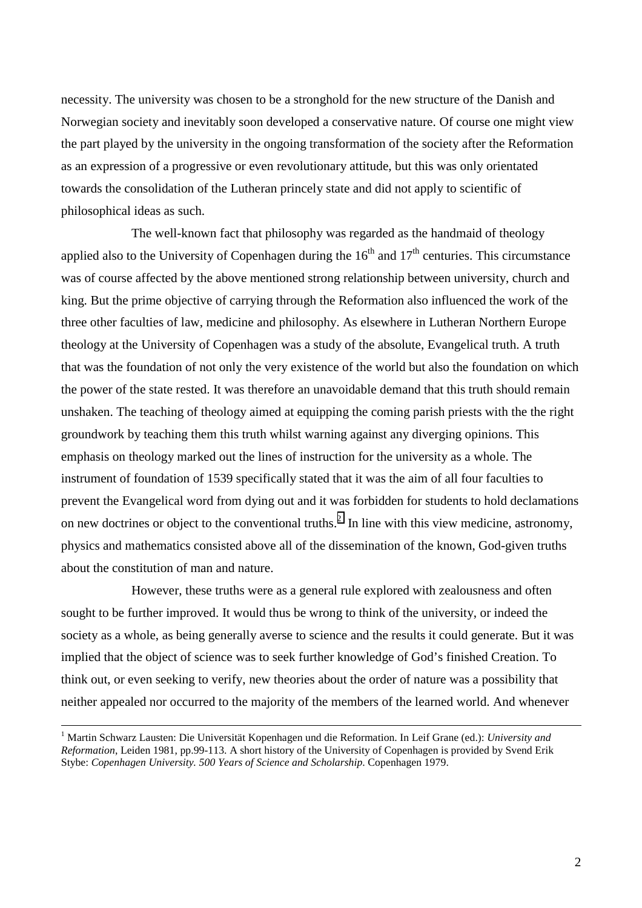necessity. The university was chosen to be a stronghold for the new structure of the Danish and Norwegian society and inevitably soon developed a conservative nature. Of course one might view the part played by the university in the ongoing transformation of the society after the Reformation as an expression of a progressive or even revolutionary attitude, but this was only orientated towards the consolidation of the Lutheran princely state and did not apply to scientific of philosophical ideas as such.

The well-known fact that philosophy was regarded as the handmaid of theology applied also to the University of Copenhagen during the  $16<sup>th</sup>$  and  $17<sup>th</sup>$  centuries. This circumstance was of course affected by the above mentioned strong relationship between university, church and king. But the prime objective of carrying through the Reformation also influenced the work of the three other faculties of law, medicine and philosophy. As elsewhere in Lutheran Northern Europe theology at the University of Copenhagen was a study of the absolute, Evangelical truth. A truth that was the foundation of not only the very existence of the world but also the foundation on which the power of the state rested. It was therefore an unavoidable demand that this truth should remain unshaken. The teaching of theology aimed at equipping the coming parish priests with the the right groundwork by teaching them this truth whilst warning against any diverging opinions. This emphasis on theology marked out the lines of instruction for the university as a whole. The instrument of foundation of 1539 specifically stated that it was the aim of all four faculties to prevent the Evangelical word from dying out and it was forbidden for students to hold declamations on new doctrines or object to the conventional truths.<sup>2</sup> In line with this view medicine, astronomy, physics and mathematics consisted above all of the dissemination of the known, God-given truths about the constitution of man and nature.

However, these truths were as a general rule explored with zealousness and often sought to be further improved. It would thus be wrong to think of the university, or indeed the society as a whole, as being generally averse to science and the results it could generate. But it was implied that the object of science was to seek further knowledge of God's finished Creation. To think out, or even seeking to verify, new theories about the order of nature was a possibility that neither appealed nor occurred to the majority of the members of the learned world. And whenever

 $\frac{1}{1}$  Martin Schwarz Lausten: Die Universität Kopenhagen und die Reformation. In Leif Grane (ed.): *University and Reformation*, Leiden 1981, pp.99-113. A short history of the University of Copenhagen is provided by Svend Erik Stybe: *Copenhagen University. 500 Years of Science and Scholarship*. Copenhagen 1979.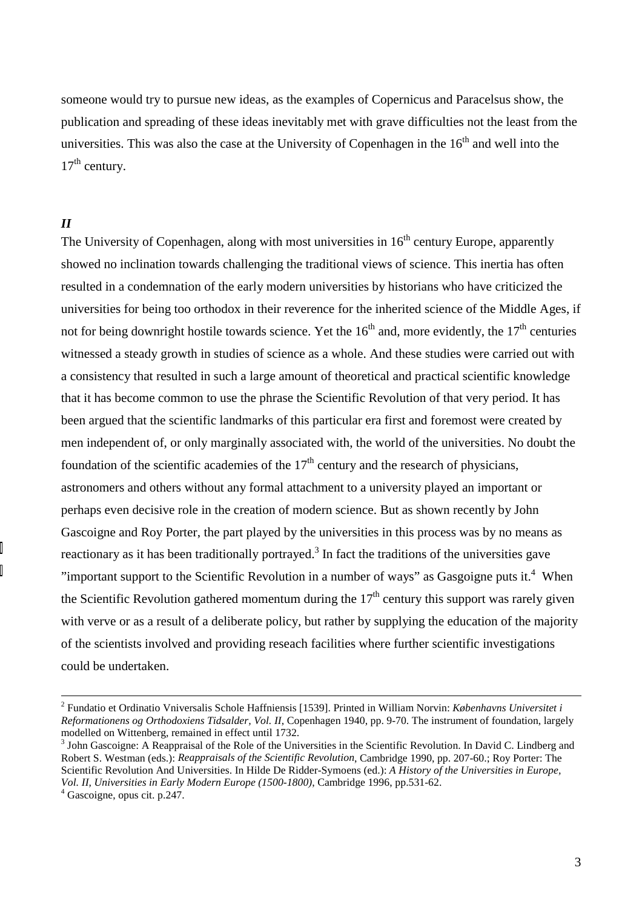someone would try to pursue new ideas, as the examples of Copernicus and Paracelsus show, the publication and spreading of these ideas inevitably met with grave difficulties not the least from the universities. This was also the case at the University of Copenhagen in the  $16<sup>th</sup>$  and well into the  $17<sup>th</sup>$  century.

## *II*

The University of Copenhagen, along with most universities in  $16<sup>th</sup>$  century Europe, apparently showed no inclination towards challenging the traditional views of science. This inertia has often resulted in a condemnation of the early modern universities by historians who have criticized the universities for being too orthodox in their reverence for the inherited science of the Middle Ages, if not for being downright hostile towards science. Yet the  $16<sup>th</sup>$  and, more evidently, the  $17<sup>th</sup>$  centuries witnessed a steady growth in studies of science as a whole. And these studies were carried out with a consistency that resulted in such a large amount of theoretical and practical scientific knowledge that it has become common to use the phrase the Scientific Revolution of that very period. It has been argued that the scientific landmarks of this particular era first and foremost were created by men independent of, or only marginally associated with, the world of the universities. No doubt the foundation of the scientific academies of the  $17<sup>th</sup>$  century and the research of physicians, astronomers and others without any formal attachment to a university played an important or perhaps even decisive role in the creation of modern science. But as shown recently by John Gascoigne and Roy Porter, the part played by the universities in this process was by no means as reactionary as it has been traditionally portrayed.<sup>3</sup> In fact the traditions of the universities gave "important support to the Scientific Revolution in a number of ways" as Gasgoigne puts it.<sup>4</sup> When the Scientific Revolution gathered momentum during the  $17<sup>th</sup>$  century this support was rarely given with verve or as a result of a deliberate policy, but rather by supplying the education of the majority of the scientists involved and providing reseach facilities where further scientific investigations could be undertaken.

 $\frac{1}{2}$  Fundatio et Ordinatio Vniversalis Schole Haffniensis [1539]. Printed in William Norvin: *Københavns Universitet i Reformationens og Orthodoxiens Tidsalder, Vol. II*, Copenhagen 1940, pp. 9-70. The instrument of foundation, largely modelled on Wittenberg, remained in effect until 1732.

<sup>&</sup>lt;sup>3</sup> John Gascoigne: A Reappraisal of the Role of the Universities in the Scientific Revolution. In David C. Lindberg and Robert S. Westman (eds.): *Reappraisals of the Scientific Revolution*, Cambridge 1990, pp. 207-60.; Roy Porter: The Scientific Revolution And Universities. In Hilde De Ridder-Symoens (ed.): *A History of the Universities in Europe, Vol. II, Universities in Early Modern Europe (1500-1800)*, Cambridge 1996, pp.531-62. <sup>4</sup>

 $4$  Gascoigne, opus cit. p. 247.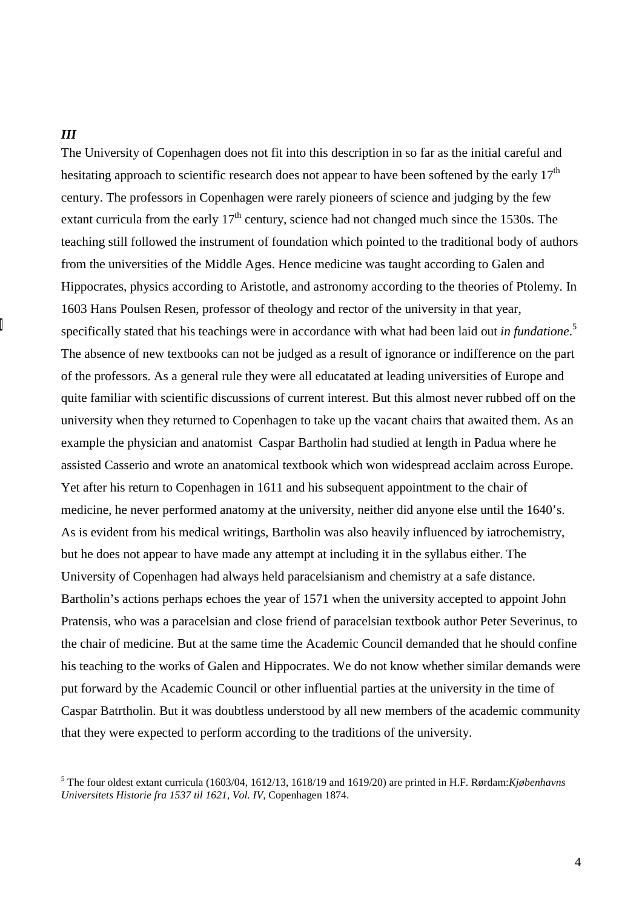#### *III*

The University of Copenhagen does not fit into this description in so far as the initial careful and hesitating approach to scientific research does not appear to have been softened by the early 17<sup>th</sup> century. The professors in Copenhagen were rarely pioneers of science and judging by the few extant curricula from the early  $17<sup>th</sup>$  century, science had not changed much since the 1530s. The teaching still followed the instrument of foundation which pointed to the traditional body of authors from the universities of the Middle Ages. Hence medicine was taught according to Galen and Hippocrates, physics according to Aristotle, and astronomy according to the theories of Ptolemy. In 1603 Hans Poulsen Resen, professor of theology and rector of the university in that year, specifically stated that his teachings were in accordance with what had been laid out *in fundatione*. 5 The absence of new textbooks can not be judged as a result of ignorance or indifference on the part of the professors. As a general rule they were all educatated at leading universities of Europe and quite familiar with scientific discussions of current interest. But this almost never rubbed off on the university when they returned to Copenhagen to take up the vacant chairs that awaited them. As an example the physician and anatomist Caspar Bartholin had studied at length in Padua where he assisted Casserio and wrote an anatomical textbook which won widespread acclaim across Europe. Yet after his return to Copenhagen in 1611 and his subsequent appointment to the chair of medicine, he never performed anatomy at the university, neither did anyone else until the 1640's. As is evident from his medical writings, Bartholin was also heavily influenced by iatrochemistry, but he does not appear to have made any attempt at including it in the syllabus either. The University of Copenhagen had always held paracelsianism and chemistry at a safe distance. Bartholin's actions perhaps echoes the year of 1571 when the university accepted to appoint John Pratensis, who was a paracelsian and close friend of paracelsian textbook author Peter Severinus, to the chair of medicine. But at the same time the Academic Council demanded that he should confine his teaching to the works of Galen and Hippocrates. We do not know whether similar demands were put forward by the Academic Council or other influential parties at the university in the time of Caspar Batrtholin. But it was doubtless understood by all new members of the academic community that they were expected to perform according to the traditions of the university.

<sup>5</sup> The four oldest extant curricula (1603/04, 1612/13, 1618/19 and 1619/20) are printed in H.F. Rørdam:*Kjøbenhavns Universitets Historie fra 1537 til 1621, Vol. IV*, Copenhagen 1874.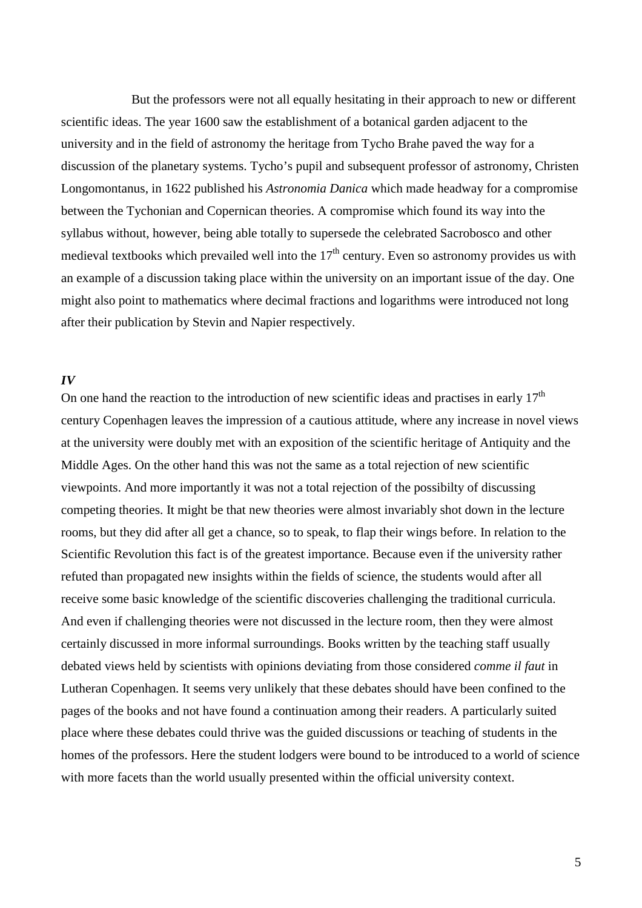But the professors were not all equally hesitating in their approach to new or different scientific ideas. The year 1600 saw the establishment of a botanical garden adjacent to the university and in the field of astronomy the heritage from Tycho Brahe paved the way for a discussion of the planetary systems. Tycho's pupil and subsequent professor of astronomy, Christen Longomontanus, in 1622 published his *Astronomia Danica* which made headway for a compromise between the Tychonian and Copernican theories. A compromise which found its way into the syllabus without, however, being able totally to supersede the celebrated Sacrobosco and other medieval textbooks which prevailed well into the  $17<sup>th</sup>$  century. Even so astronomy provides us with an example of a discussion taking place within the university on an important issue of the day. One might also point to mathematics where decimal fractions and logarithms were introduced not long after their publication by Stevin and Napier respectively.

#### *IV*

On one hand the reaction to the introduction of new scientific ideas and practises in early 17<sup>th</sup> century Copenhagen leaves the impression of a cautious attitude, where any increase in novel views at the university were doubly met with an exposition of the scientific heritage of Antiquity and the Middle Ages. On the other hand this was not the same as a total rejection of new scientific viewpoints. And more importantly it was not a total rejection of the possibilty of discussing competing theories. It might be that new theories were almost invariably shot down in the lecture rooms, but they did after all get a chance, so to speak, to flap their wings before. In relation to the Scientific Revolution this fact is of the greatest importance. Because even if the university rather refuted than propagated new insights within the fields of science, the students would after all receive some basic knowledge of the scientific discoveries challenging the traditional curricula. And even if challenging theories were not discussed in the lecture room, then they were almost certainly discussed in more informal surroundings. Books written by the teaching staff usually debated views held by scientists with opinions deviating from those considered *comme il faut* in Lutheran Copenhagen. It seems very unlikely that these debates should have been confined to the pages of the books and not have found a continuation among their readers. A particularly suited place where these debates could thrive was the guided discussions or teaching of students in the homes of the professors. Here the student lodgers were bound to be introduced to a world of science with more facets than the world usually presented within the official university context.